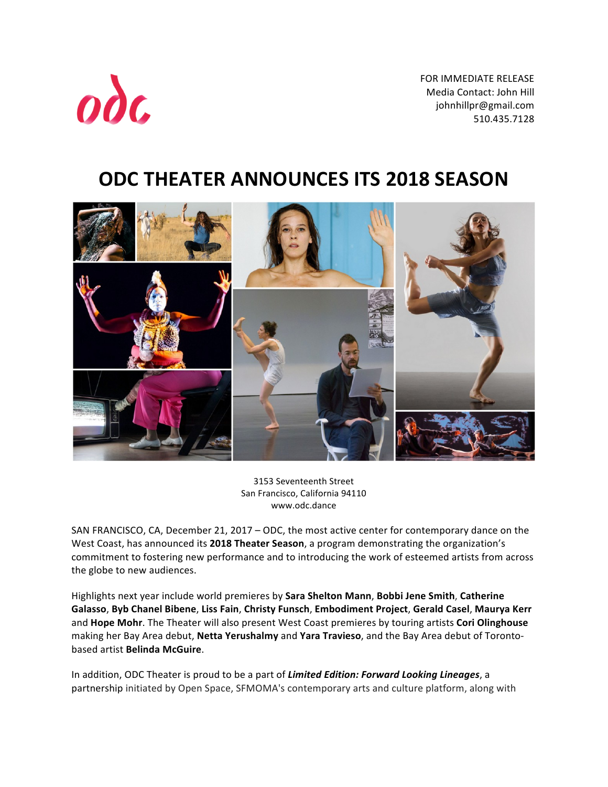FOR IMMEDIATE RELEASE Media Contact: John Hill johnhillpr@gmail.com 510.435.7128 



# **ODC THEATER ANNOUNCES ITS 2018 SEASON**



3153 Seventeenth Street San Francisco, California 94110 www.odc.dance

SAN FRANCISCO, CA, December 21, 2017 – ODC, the most active center for contemporary dance on the West Coast, has announced its 2018 Theater Season, a program demonstrating the organization's commitment to fostering new performance and to introducing the work of esteemed artists from across the globe to new audiences.

Highlights next year include world premieres by Sara Shelton Mann, Bobbi Jene Smith, Catherine **Galasso**, **Byb Chanel Bibene**, **Liss Fain**, **Christy Funsch**, **Embodiment Project**, **Gerald Casel**, **Maurya Kerr** and Hope Mohr. The Theater will also present West Coast premieres by touring artists Cori Olinghouse making her Bay Area debut, Netta Yerushalmy and Yara Travieso, and the Bay Area debut of Torontobased artist **Belinda McGuire**.

In addition, ODC Theater is proud to be a part of *Limited Edition: Forward Looking Lineages*, a partnership initiated by Open Space, SFMOMA's contemporary arts and culture platform, along with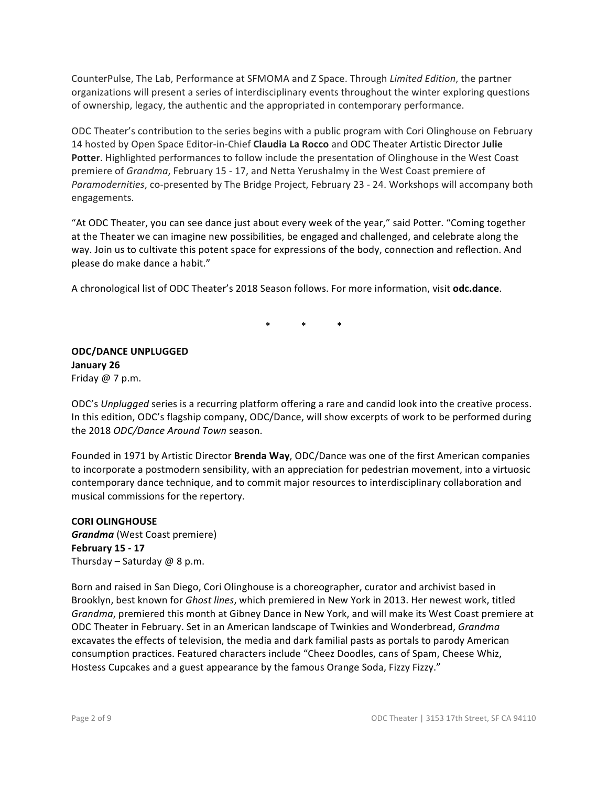CounterPulse, The Lab, Performance at SFMOMA and Z Space. Through *Limited Edition*, the partner organizations will present a series of interdisciplinary events throughout the winter exploring questions of ownership, legacy, the authentic and the appropriated in contemporary performance.

ODC Theater's contribution to the series begins with a public program with Cori Olinghouse on February 14 hosted by Open Space Editor-in-Chief **Claudia La Rocco** and ODC Theater Artistic Director Julie Potter. Highlighted performances to follow include the presentation of Olinghouse in the West Coast premiere of *Grandma*, February 15 - 17, and Netta Yerushalmy in the West Coast premiere of *Paramodernities*, co-presented by The Bridge Project, February 23 - 24. Workshops will accompany both engagements.

"At ODC Theater, you can see dance just about every week of the year," said Potter. "Coming together at the Theater we can imagine new possibilities, be engaged and challenged, and celebrate along the way. Join us to cultivate this potent space for expressions of the body, connection and reflection. And please do make dance a habit."

A chronological list of ODC Theater's 2018 Season follows. For more information, visit odc.dance.

 $*$   $*$   $*$   $*$ 

**ODC/DANCE UNPLUGGED January 26** Friday  $@7p.m.$ 

ODC's Unplugged series is a recurring platform offering a rare and candid look into the creative process. In this edition, ODC's flagship company, ODC/Dance, will show excerpts of work to be performed during the 2018 *ODC/Dance Around Town* season.

Founded in 1971 by Artistic Director **Brenda Way**, ODC/Dance was one of the first American companies to incorporate a postmodern sensibility, with an appreciation for pedestrian movement, into a virtuosic contemporary dance technique, and to commit major resources to interdisciplinary collaboration and musical commissions for the repertory.

**CORI OLINGHOUSE** *Grandma* (West Coast premiere) **February 15 - 17** Thursday – Saturday  $@$  8 p.m.

Born and raised in San Diego, Cori Olinghouse is a choreographer, curator and archivist based in Brooklyn, best known for *Ghost lines*, which premiered in New York in 2013. Her newest work, titled *Grandma*, premiered this month at Gibney Dance in New York, and will make its West Coast premiere at ODC Theater in February. Set in an American landscape of Twinkies and Wonderbread, *Grandma* excavates the effects of television, the media and dark familial pasts as portals to parody American consumption practices. Featured characters include "Cheez Doodles, cans of Spam, Cheese Whiz, Hostess Cupcakes and a guest appearance by the famous Orange Soda, Fizzy Fizzy."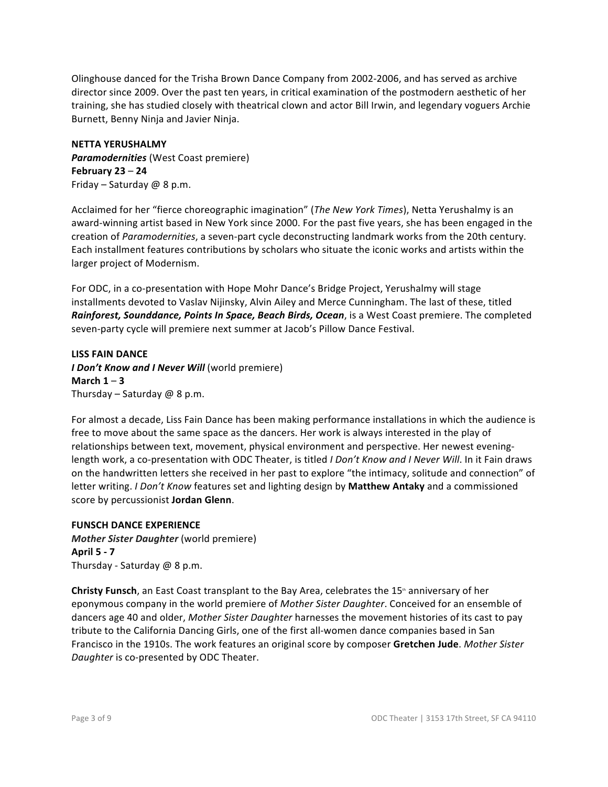Olinghouse danced for the Trisha Brown Dance Company from 2002-2006, and has served as archive director since 2009. Over the past ten years, in critical examination of the postmodern aesthetic of her training, she has studied closely with theatrical clown and actor Bill Irwin, and legendary voguers Archie Burnett, Benny Ninja and Javier Ninja.

### **NETTA YERUSHALMY**

**Paramodernities** (West Coast premiere) **February 23** – **24** Friday – Saturday  $@$  8 p.m.

Acclaimed for her "fierce choreographic imagination" (*The New York Times*), Netta Yerushalmy is an award-winning artist based in New York since 2000. For the past five years, she has been engaged in the creation of *Paramodernities*, a seven-part cycle deconstructing landmark works from the 20th century. Each installment features contributions by scholars who situate the iconic works and artists within the larger project of Modernism.

For ODC, in a co-presentation with Hope Mohr Dance's Bridge Project, Yerushalmy will stage installments devoted to Vaslav Nijinsky, Alvin Ailey and Merce Cunningham. The last of these, titled *Rainforest, Sounddance, Points In Space, Beach Birds, Ocean,* is a West Coast premiere. The completed seven-party cycle will premiere next summer at Jacob's Pillow Dance Festival.

**LISS FAIN DANCE** *I Don't Know and I Never Will (world premiere)* March  $1 - 3$ Thursday – Saturday  $@$  8 p.m.

For almost a decade, Liss Fain Dance has been making performance installations in which the audience is free to move about the same space as the dancers. Her work is always interested in the play of relationships between text, movement, physical environment and perspective. Her newest eveninglength work, a co-presentation with ODC Theater, is titled *I Don't Know and I Never Will*. In it Fain draws on the handwritten letters she received in her past to explore "the intimacy, solitude and connection" of letter writing. *I Don't Know* features set and lighting design by Matthew Antaky and a commissioned score by percussionist Jordan Glenn.

### **FUNSCH DANCE EXPERIENCE**

*Mother Sister Daughter* (world premiere) **April 5 - 7** Thursday - Saturday  $@$  8 p.m.

**Christy Funsch**, an East Coast transplant to the Bay Area, celebrates the 15<sup>th</sup> anniversary of her eponymous company in the world premiere of *Mother Sister Daughter*. Conceived for an ensemble of dancers age 40 and older, *Mother Sister Daughter* harnesses the movement histories of its cast to pay tribute to the California Dancing Girls, one of the first all-women dance companies based in San Francisco in the 1910s. The work features an original score by composer Gretchen Jude. Mother Sister *Daughter* is co-presented by ODC Theater.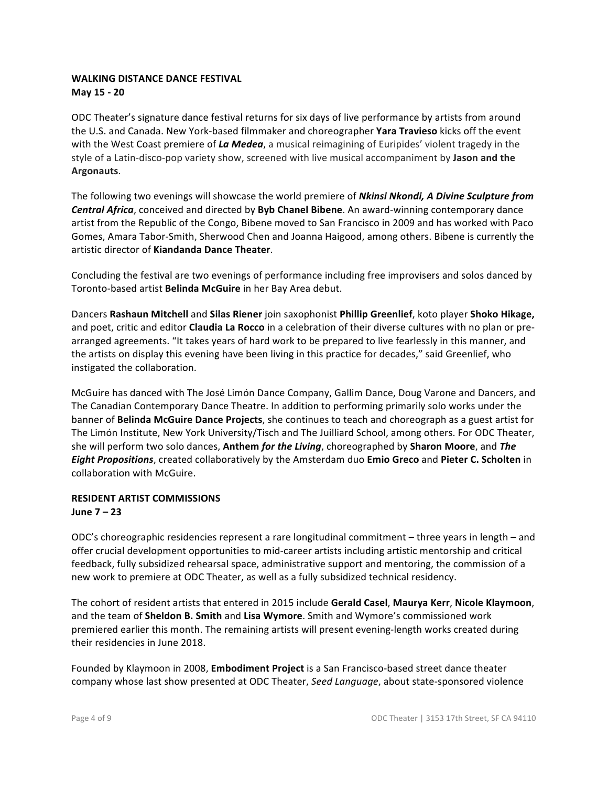### **WALKING DISTANCE DANCE FESTIVAL May 15 - 20**

ODC Theater's signature dance festival returns for six days of live performance by artists from around the U.S. and Canada. New York-based filmmaker and choreographer **Yara Travieso** kicks off the event with the West Coast premiere of La Medea, a musical reimagining of Euripides' violent tragedy in the style of a Latin-disco-pop variety show, screened with live musical accompaniment by Jason and the **Argonauts**.

The following two evenings will showcase the world premiere of *Nkinsi Nkondi, A Divine Sculpture from* **Central Africa**, conceived and directed by **Byb Chanel Bibene**. An award-winning contemporary dance artist from the Republic of the Congo, Bibene moved to San Francisco in 2009 and has worked with Paco Gomes, Amara Tabor-Smith, Sherwood Chen and Joanna Haigood, among others. Bibene is currently the artistic director of **Kiandanda Dance Theater**.

Concluding the festival are two evenings of performance including free improvisers and solos danced by Toronto-based artist **Belinda McGuire** in her Bay Area debut.

Dancers **Rashaun Mitchell** and **Silas Riener** join saxophonist **Phillip Greenlief**, koto player **Shoko Hikage,** and poet, critic and editor **Claudia La Rocco** in a celebration of their diverse cultures with no plan or prearranged agreements. "It takes years of hard work to be prepared to live fearlessly in this manner, and the artists on display this evening have been living in this practice for decades," said Greenlief, who instigated the collaboration.

McGuire has danced with The José Limón Dance Company, Gallim Dance, Doug Varone and Dancers, and The Canadian Contemporary Dance Theatre. In addition to performing primarily solo works under the banner of Belinda McGuire Dance Projects, she continues to teach and choreograph as a guest artist for The Limón Institute, New York University/Tisch and The Juilliard School, among others. For ODC Theater, she will perform two solo dances, Anthem *for the Living*, choreographed by Sharon Moore, and The *Eight Propositions*, created collaboratively by the Amsterdam duo **Emio Greco** and Pieter C. Scholten in collaboration with McGuire.

## **RESIDENT ARTIST COMMISSIONS**

### **June 7 – 23**

ODC's choreographic residencies represent a rare longitudinal commitment – three years in length – and offer crucial development opportunities to mid-career artists including artistic mentorship and critical feedback, fully subsidized rehearsal space, administrative support and mentoring, the commission of a new work to premiere at ODC Theater, as well as a fully subsidized technical residency.

The cohort of resident artists that entered in 2015 include Gerald Casel, Maurya Kerr, Nicole Klaymoon, and the team of **Sheldon B. Smith** and Lisa Wymore. Smith and Wymore's commissioned work premiered earlier this month. The remaining artists will present evening-length works created during their residencies in June 2018.

Founded by Klaymoon in 2008, **Embodiment Project** is a San Francisco-based street dance theater company whose last show presented at ODC Theater, *Seed Language*, about state-sponsored violence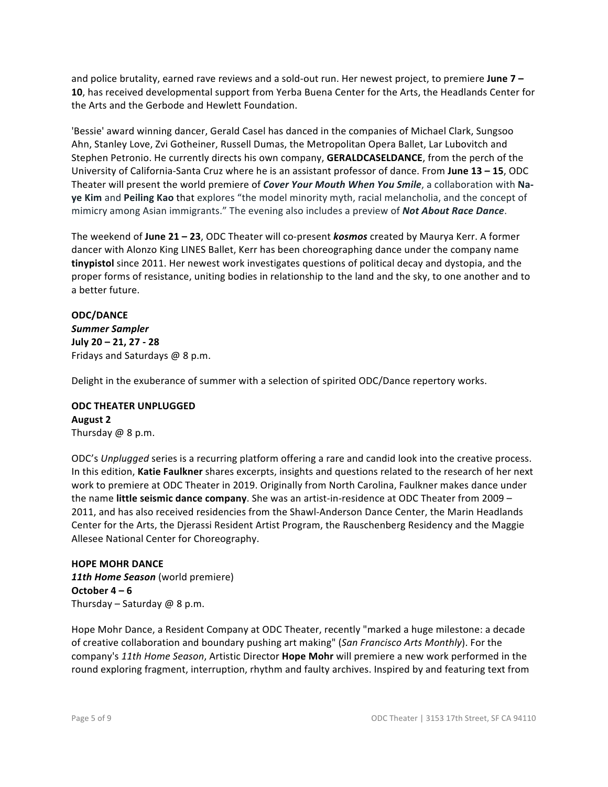and police brutality, earned rave reviews and a sold-out run. Her newest project, to premiere **June 7 – 10**, has received developmental support from Yerba Buena Center for the Arts, the Headlands Center for the Arts and the Gerbode and Hewlett Foundation.

'Bessie' award winning dancer, Gerald Casel has danced in the companies of Michael Clark, Sungsoo Ahn, Stanley Love, Zvi Gotheiner, Russell Dumas, the Metropolitan Opera Ballet, Lar Lubovitch and Stephen Petronio. He currently directs his own company, **GERALDCASELDANCE**, from the perch of the University of California-Santa Cruz where he is an assistant professor of dance. From **June 13 – 15**, ODC Theater will present the world premiere of *Cover Your Mouth When You Smile*, a collaboration with Na**ye Kim** and **Peiling Kao** that explores "the model minority myth, racial melancholia, and the concept of mimicry among Asian immigrants." The evening also includes a preview of **Not About Race Dance**.

The weekend of June 21 – 23, ODC Theater will co-present *kosmos* created by Maurya Kerr. A former dancer with Alonzo King LINES Ballet, Kerr has been choreographing dance under the company name **tinypistol** since 2011. Her newest work investigates questions of political decay and dystopia, and the proper forms of resistance, uniting bodies in relationship to the land and the sky, to one another and to a better future.

### **ODC/DANCE** *Summer Sampler* **July 20 – 21, 27 - 28**

Fridays and Saturdays  $@$  8 p.m.

Delight in the exuberance of summer with a selection of spirited ODC/Dance repertory works.

### **ODC THEATER UNPLUGGED August 2** Thursday  $@$  8 p.m.

ODC's *Unplugged* series is a recurring platform offering a rare and candid look into the creative process. In this edition, Katie Faulkner shares excerpts, insights and questions related to the research of her next work to premiere at ODC Theater in 2019. Originally from North Carolina, Faulkner makes dance under the name **little seismic dance company**. She was an artist-in-residence at ODC Theater from 2009 – 2011, and has also received residencies from the Shawl-Anderson Dance Center, the Marin Headlands Center for the Arts, the Djerassi Resident Artist Program, the Rauschenberg Residency and the Maggie Allesee National Center for Choreography.

**HOPE MOHR DANCE 11th Home Season** (world premiere) October  $4 - 6$ Thursday – Saturday  $@$  8 p.m.

Hope Mohr Dance, a Resident Company at ODC Theater, recently "marked a huge milestone: a decade of creative collaboration and boundary pushing art making" (San Francisco Arts Monthly). For the company's 11th Home Season, Artistic Director **Hope Mohr** will premiere a new work performed in the round exploring fragment, interruption, rhythm and faulty archives. Inspired by and featuring text from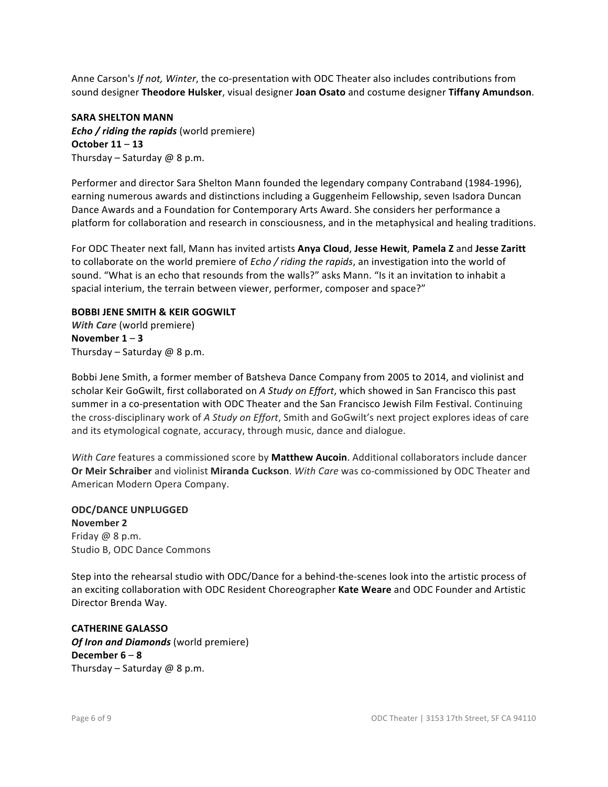Anne Carson's *If not, Winter*, the co-presentation with ODC Theater also includes contributions from sound designer Theodore Hulsker, visual designer Joan Osato and costume designer Tiffany Amundson.

**SARA SHELTON MANN** *Echo* / riding the rapids (world premiere) **October 11** – **13** Thursday – Saturday  $@$  8 p.m.

Performer and director Sara Shelton Mann founded the legendary company Contraband (1984-1996), earning numerous awards and distinctions including a Guggenheim Fellowship, seven Isadora Duncan Dance Awards and a Foundation for Contemporary Arts Award. She considers her performance a platform for collaboration and research in consciousness, and in the metaphysical and healing traditions.

For ODC Theater next fall, Mann has invited artists **Anya Cloud**, **Jesse Hewit**, **Pamela Z** and **Jesse Zaritt** to collaborate on the world premiere of *Echo* / riding the rapids, an investigation into the world of sound. "What is an echo that resounds from the walls?" asks Mann. "Is it an invitation to inhabit a spacial interium, the terrain between viewer, performer, composer and space?"

# **BOBBI JENE SMITH & KEIR GOGWILT** *With Care* (world premiere) November  $1 - 3$

Thursday – Saturday  $@$  8 p.m.

Bobbi Jene Smith, a former member of Batsheva Dance Company from 2005 to 2014, and violinist and scholar Keir GoGwilt, first collaborated on A Study on Effort, which showed in San Francisco this past summer in a co-presentation with ODC Theater and the San Francisco Jewish Film Festival. Continuing the cross-disciplinary work of *A Study on Effort*, Smith and GoGwilt's next project explores ideas of care and its etymological cognate, accuracy, through music, dance and dialogue.

*With Care* features a commissioned score by **Matthew Aucoin**. Additional collaborators include dancer **Or Meir Schraiber** and violinist Miranda Cuckson. With Care was co-commissioned by ODC Theater and American Modern Opera Company.

**ODC/DANCE UNPLUGGED November 2** Friday  $@$  8 p.m. Studio B, ODC Dance Commons

Step into the rehearsal studio with ODC/Dance for a behind-the-scenes look into the artistic process of an exciting collaboration with ODC Resident Choreographer Kate Weare and ODC Founder and Artistic Director Brenda Way.

**CATHERINE GALASSO** *Of Iron and Diamonds* (world premiere) **December 6** – **8** Thursday – Saturday  $@8p.m.$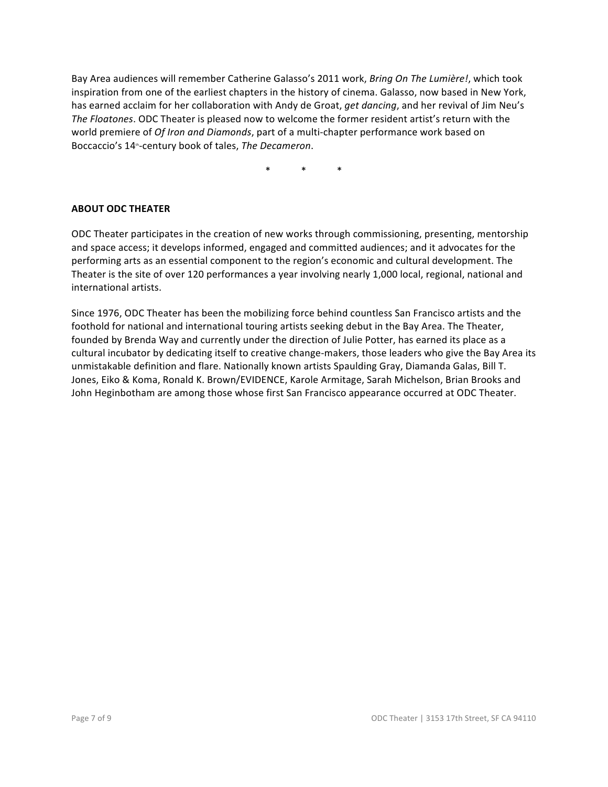Bay Area audiences will remember Catherine Galasso's 2011 work, *Bring On The Lumière!*, which took inspiration from one of the earliest chapters in the history of cinema. Galasso, now based in New York, has earned acclaim for her collaboration with Andy de Groat, *get dancing*, and her revival of Jim Neu's The Floatones. ODC Theater is pleased now to welcome the former resident artist's return with the world premiere of *Of Iron and Diamonds*, part of a multi-chapter performance work based on Boccaccio's 14<sup>th</sup>-century book of tales, *The Decameron*.

 $*$   $*$   $*$   $*$ 

### **ABOUT ODC THEATER**

ODC Theater participates in the creation of new works through commissioning, presenting, mentorship and space access; it develops informed, engaged and committed audiences; and it advocates for the performing arts as an essential component to the region's economic and cultural development. The Theater is the site of over 120 performances a year involving nearly 1,000 local, regional, national and international artists.

Since 1976, ODC Theater has been the mobilizing force behind countless San Francisco artists and the foothold for national and international touring artists seeking debut in the Bay Area. The Theater, founded by Brenda Way and currently under the direction of Julie Potter, has earned its place as a cultural incubator by dedicating itself to creative change-makers, those leaders who give the Bay Area its unmistakable definition and flare. Nationally known artists Spaulding Gray, Diamanda Galas, Bill T. Jones, Eiko & Koma, Ronald K. Brown/EVIDENCE, Karole Armitage, Sarah Michelson, Brian Brooks and John Heginbotham are among those whose first San Francisco appearance occurred at ODC Theater.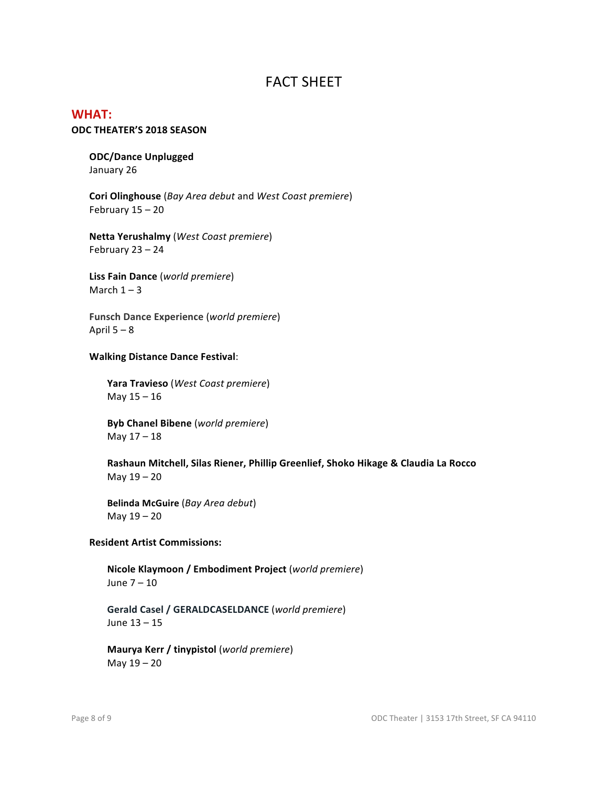# **FACT SHEET**

# **WHAT:**

### **ODC THEATER'S 2018 SEASON**

### **ODC/Dance Unplugged** January 26

**Cori Olinghouse** (*Bay Area debut* and *West Coast premiere*) February  $15 - 20$ 

**Netta Yerushalmy** (*West Coast premiere*) February  $23 - 24$ 

**Liss Fain Dance** (*world premiere*) March  $1 - 3$ 

**Funsch Dance Experience** (*world premiere*) April  $5 - 8$ 

### **Walking Distance Dance Festival**:

**Yara Travieso** (*West Coast premiere*) May  $15 - 16$ 

**Byb Chanel Bibene** (*world premiere*) May  $17 - 18$ 

Rashaun Mitchell, Silas Riener, Phillip Greenlief, Shoko Hikage & Claudia La Rocco May  $19 - 20$ 

**Belinda McGuire** (*Bay Area debut*) May  $19 - 20$ 

### **Resident Artist Commissions:**

**Nicole Klaymoon / Embodiment Project** (*world premiere*) June  $7 - 10$ 

**Gerald Casel / GERALDCASELDANCE** (*world premiere*) June  $13 - 15$ 

**Maurya Kerr / tinypistol** (*world premiere*) May  $19 - 20$